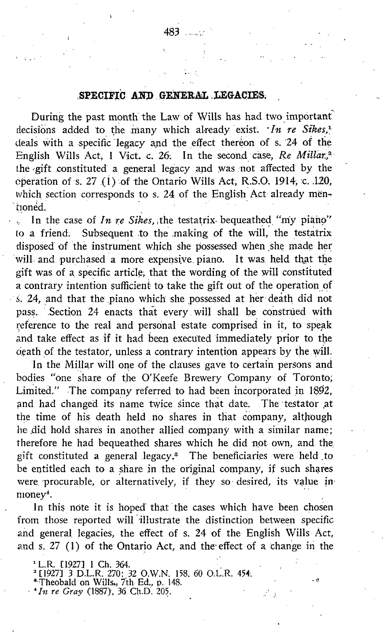During the past month the Law of Wills has had two important decisions added to the many which already exist.  $In$  re Sikes,<sup>1</sup> deals with a specific legacy and the effect thereon of s. 24 of the English Wills Act, 1 Vict. c. 26. In the second case, Re Millar,<sup>2</sup> the gift constituted a general legacy and was :not affected by the operation of s. 27  $(1)$  of the Ontario Wills Act, R.S.O. 1914, c. .120, which section corresponds to s. 24 of the English Act already menhonéd.

In the case of In re Sikes, the testatrix bequeathed "my piano" to a friend. Subsequent to the making of the will, the testatrix Subsequent to the making of the will, the testatrix disposed of the instrument which she possessed when she made her will- and purchased a more expensive piano. It was. held that the gift was of a. specific article; that the wording of the will constituted a contrary intention sufficient to take the gift out of the operation of s. 24, and that the piano which she possessed at her death did not pass. Section 24 enacts that every . will shall be construed with reference to the real and personal estate comprised in it, to speak and take effect as if it had been executed immediately prior to the ogath of the testator, unless a contrary intention appears by the will.

In the Millar will one of the clauses gave to certain persons and bodies "one share of the O'Keefe Brewery Company of Toronto; Limited." The company referred to had been incorporated in 1892, and had changed its name twice since that date. The testator at the time of his death held, no shares in that company, although he did hold shares in another allied company with a similar name; therefore he had bequeathed shares which he did not own, and the gift constituted a general legacy. $^s$  The beneficiaries were held to be entitled each to a share in the original company, if such shares were, procurable, or alternatively, if they so-desired, its value inmoney<sup>4</sup>.

In this note it is hoped that the cases which have been chosen from those reported will illustrate the distinction between specific and general, legacies, the effect of s. 24 of the English Wills Act, and s. 27 (1) of the Ontario Act, and the effect of a change in the

 $\cdot$  e

- 
- $\cdot$ In re Gray (1887), 36 Ch.D. 205.

<sup>&#</sup>x27; L.R. [1927] 1 Ch. 364.<br>' [1927] 3 D.L.R. 270: 32 O.W.N. 158, 60 O.L.R. 454.<br>' Theobald on Wills,, 7th Ed., p. 148.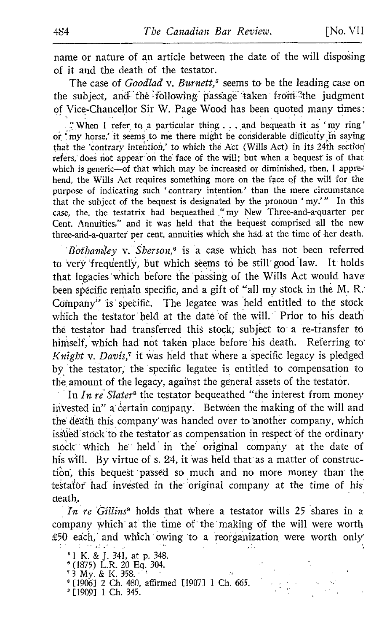name or nature of an article between the date of the will disposing of it and the death of the testator.

The case of *Goodlad* v. Burnett,<sup>5</sup> seems to be the leading case on the subject, and the following passage taken from the judgment of Vice-Chancellor Sir W. Page Wood has been quoted many times :

"When I refer to a particular thing . . . and bequeath it as 'my ring' or 'my horse,' it seems to me there might be considerable difficulty in saying that the 'contrary intention,' to which the Act (Wills Act) in its 24th section refers, does not appear on the face of the will; but when a bequest is of that which is generic-of that which may be increased or diminished, then, I apprehend, the Wills Act requires something more on the face of the will for, the purpose of indicating such 'contrary intention' than the mere circumstance that the subject of the bequest is designated by the pronoun 'my."' In this case, the, the testatrix had bequeathed "my New Three-and-a-quarter per Cent. Annuities," and it was held that the bequest comprised all the new three-and-a-quarter per cent. annuities which she had at the time of her death.

Bothamley v. Sherson,<sup> $\theta$ </sup> is a case which has not been referred to very frequently, but which seems to be still' good law. It holds that legâcies'which before the passing of the Wills Act would have been specific remain specific, and a gift of "all my stock in the M. R. Company" is specific. The legatee was held entitled to the stock which the testator' held at the date of the will. Prior to his death the testator had transferred this stock, subject to a re-transfer to himself, which had not taken place before his death. Referring to Knight v. Davis,<sup> $\tau$ </sup> it was held that where a specific legacy is pledged by, the testator, the specific legatee is entitled to compensation to the amount of the legacy, against the general assets of the testator.

In  $In$   $re$  Slater<sup>s</sup> the testator bequeathed "the interest from money invested in" a certain company. Between the making of the will and the death this company was handed over to another company, which issued stock to the testator as compensation in respect of the ordinary stock which he held in the original company at the date of his will. By virtue of s. 24, it was held that as a matter of construction, this bequest passed so much and no more money than the testafôr had invested in the original company at the time of his death.

In re Gillins<sup>9</sup> holds that where a testator wills 25 shares in a company which at the time of the' making of the will were worth £50 each, and which owing to a reorganization were worth only'

- 
- <sup>6</sup> <sup>1</sup> K. & J. 341, at p. 348. (1875) L.R. <sup>20</sup> Eq. <sup>304</sup> . ' <sup>3</sup> My. & K. 358. "
- 
- <sup>1</sup> [19061 <sup>2</sup> Ch. 480, affirmed [10071 <sup>1</sup> Ch. 665.
- ' [ 19091 <sup>1</sup> Ch. 345 .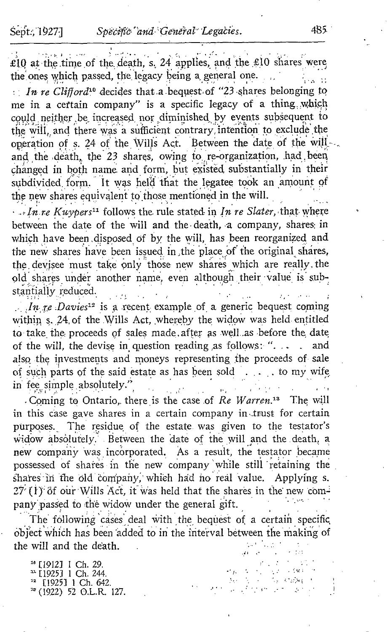Sept., 1927]

e de la £10 at the time of the death, s. 24 applies, and the £10 shares were the ones which passed, the legacy being a general one.

In re Clifford<sup>10</sup> decides that a bequest of "23 shares belonging to me in a certain company" is a specific legacy of a thing which could neither be increased nor diminished by events subsequent to the will, and there was a sufficient contrary intention to exclude the operation of s. 24 of the Wills Act. Between the date of the will and the death, the 23 shares, owing to re-organization, had been changed in both name and form, but existed substantially in their subdivided form. It was held that the legatee took an amount of the new shares equivalent to those mentioned in the will.

 $\cdots$  In re Kuypers<sup>11</sup> follows the rule stated in In re Slater, that where between the date of the will and the death, a company, shares in which have been disposed of by the will, has been reorganized and the new shares have been issued in the place of the original shares, the devisee must take only those new shares which are really the old shares under another name, even although their value is substantially reduced.

*In te Davies*<sup>12</sup> is a recent example of a generic bequest coming within s. 24 of the Wills Act, whereby the widow was held entitled to take the proceeds of sales made after as well as before the date of the will, the devise in question reading as follows: "... . and also the investments and moneys representing the proceeds of sale of such parts of the said estate as has been sold . . . . to my wife in fee simple absolutely."

Coming to Ontario, there is the case of Re Warren.<sup>13</sup> The will in this case gave shares in a certain company in trust for certain purposes. The residue of the estate was given to the testator's widow absolutely. Between the date of the will and the death, a new company was incorporated. As a result, the testator became possessed of shares in the new company while still retaining the shares in the old company, which had no real value. Applying s.  $27$  (1) of our Wills Act, it was held that the shares in the new company passed to the widow under the general gift.

The following cases deal with the bequest of a certain specific object which has been added to in the interval between the making of the will and the death.

West Property

<sup>10</sup> [1912] 1 Ch. 29. <sup>11</sup> [1925] 1 Ch. 244. <sup>12</sup> [1925] 1 Ch. 642.  $33$  (1922) 52 O.L.R. 127.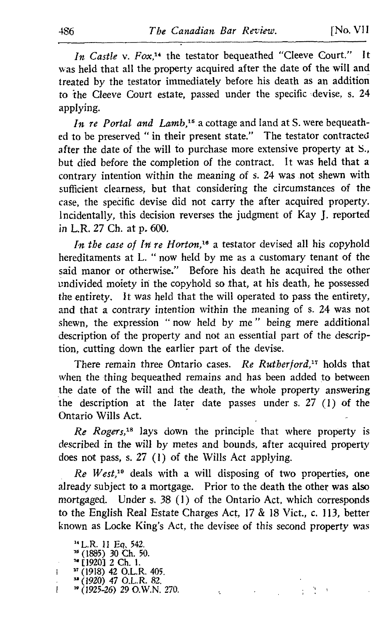In Castle v. Fox,<sup>14</sup> the testator bequeathed "Cleeve Court." It was held that all the property acquired after the date of the will and treated by the testator immediately before his death as an addition to the Cleeve Court estate, passed under the specific devise, s. 24 applying.

In re Portal and Lamb,<sup>15</sup> a cottage and land at S. were bequeathed to be preserved " in their present state." The testator contracted after the date of the will to purchase more extensive property at S., but died before the completion of the contract. It was held that a contrary intention within the meaning of s. 24 was not shewn with sufficient clearness, but that considering the circumstances of the case, the specific devise did not carry the after acquired property. Incidentally, this decision reverses the judgment of Kay J. reported in L.R. 27 Ch. at p. 600.

In the case of In re Horton,<sup>16</sup> a testator devised all his copyhold hereditaments at L. " now held by me as a customary tenant of the said manor or otherwise." Before his death he acquired the other undivided moiety in the copyhold so that, at his death, he possessed the entirety. It was held that the will operated to pass the entirety, and that a contrary intention within the meaning of s. 24 was not shewn, the expression " now held by me " being mere additional description of the property and not an essential part of the description, cutting down the earlier part of the devise.

There remain three Ontario cases. Re Rutherford,<sup>17</sup> holds that when the thing bequeathed remains and has been added to between the date of the will and the death, the whole property answering the description at the later date passes under s. 27 (1) of the Ontario Wills Act.

 $Re$  Rogers,<sup>18</sup> lays down the principle that where property is described in the will by metes and bounds, after acquired property does not pass, s.  $27$  (1) of the Wills Act applying.

 $Re$  West,<sup>19</sup> deals with a will disposing of two properties, one already subject to a mortgage. Prior to the death the other was also mortgaged. Under s. 38 (1) of the Ontario Act, which corresponds to the English Real Estate Charges Act, <sup>17</sup> & 18 Vict., c. 113, better known as Locke King's Act, the devisee of this second property was

ł,

À.

 $\ddot{i}$ 

" [1920] 2 Ch. 1.<br>" (1019) 42 O L. P

- $(1920)$  47 O.L.R. 82.
- $\sqrt[3p]{(1925-26)}$  29 O.W.N. 270. L

<sup>&</sup>quot;L.R. <sup>11</sup> Eq, 542.

 $^{16}$  (1885) 30 Ch. 50.

 $^7$ (1918) 42 O.L.R. 405. Ł